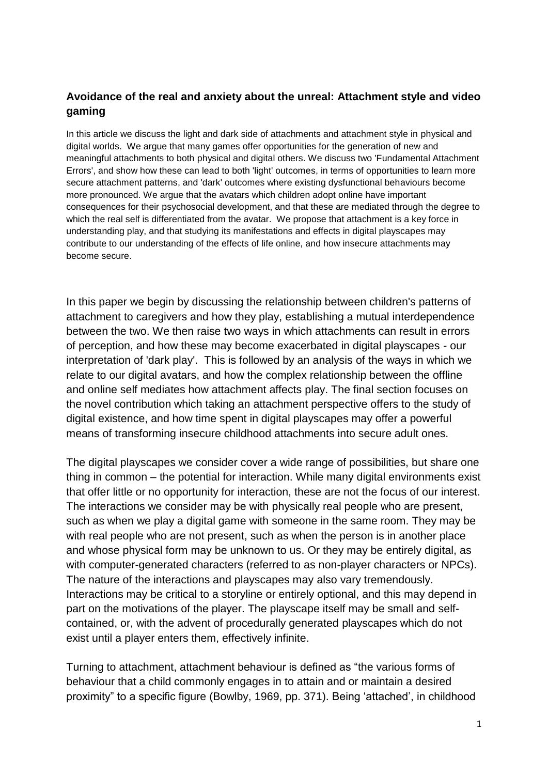## **Avoidance of the real and anxiety about the unreal: Attachment style and video gaming**

In this article we discuss the light and dark side of attachments and attachment style in physical and digital worlds. We argue that many games offer opportunities for the generation of new and meaningful attachments to both physical and digital others. We discuss two 'Fundamental Attachment Errors', and show how these can lead to both 'light' outcomes, in terms of opportunities to learn more secure attachment patterns, and 'dark' outcomes where existing dysfunctional behaviours become more pronounced. We argue that the avatars which children adopt online have important consequences for their psychosocial development, and that these are mediated through the degree to which the real self is differentiated from the avatar. We propose that attachment is a key force in understanding play, and that studying its manifestations and effects in digital playscapes may contribute to our understanding of the effects of life online, and how insecure attachments may become secure.

In this paper we begin by discussing the relationship between children's patterns of attachment to caregivers and how they play, establishing a mutual interdependence between the two. We then raise two ways in which attachments can result in errors of perception, and how these may become exacerbated in digital playscapes - our interpretation of 'dark play'. This is followed by an analysis of the ways in which we relate to our digital avatars, and how the complex relationship between the offline and online self mediates how attachment affects play. The final section focuses on the novel contribution which taking an attachment perspective offers to the study of digital existence, and how time spent in digital playscapes may offer a powerful means of transforming insecure childhood attachments into secure adult ones.

The digital playscapes we consider cover a wide range of possibilities, but share one thing in common – the potential for interaction. While many digital environments exist that offer little or no opportunity for interaction, these are not the focus of our interest. The interactions we consider may be with physically real people who are present, such as when we play a digital game with someone in the same room. They may be with real people who are not present, such as when the person is in another place and whose physical form may be unknown to us. Or they may be entirely digital, as with computer-generated characters (referred to as non-player characters or NPCs). The nature of the interactions and playscapes may also vary tremendously. Interactions may be critical to a storyline or entirely optional, and this may depend in part on the motivations of the player. The playscape itself may be small and selfcontained, or, with the advent of procedurally generated playscapes which do not exist until a player enters them, effectively infinite.

Turning to attachment, attachment behaviour is defined as "the various forms of behaviour that a child commonly engages in to attain and or maintain a desired proximity" to a specific figure (Bowlby, 1969, pp. 371). Being 'attached', in childhood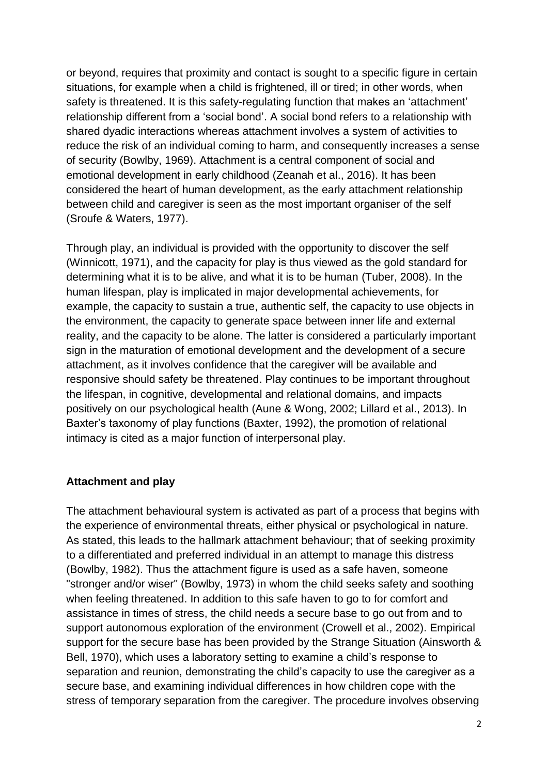or beyond, requires that proximity and contact is sought to a specific figure in certain situations, for example when a child is frightened, ill or tired; in other words, when safety is threatened. It is this safety-regulating function that makes an 'attachment' relationship different from a 'social bond'. A social bond refers to a relationship with shared dyadic interactions whereas attachment involves a system of activities to reduce the risk of an individual coming to harm, and consequently increases a sense of security (Bowlby, 1969). Attachment is a central component of social and emotional development in early childhood (Zeanah et al., 2016). It has been considered the heart of human development, as the early attachment relationship between child and caregiver is seen as the most important organiser of the self (Sroufe & Waters, 1977).

Through play, an individual is provided with the opportunity to discover the self (Winnicott, 1971), and the capacity for play is thus viewed as the gold standard for determining what it is to be alive, and what it is to be human (Tuber, 2008). In the human lifespan, play is implicated in major developmental achievements, for example, the capacity to sustain a true, authentic self, the capacity to use objects in the environment, the capacity to generate space between inner life and external reality, and the capacity to be alone. The latter is considered a particularly important sign in the maturation of emotional development and the development of a secure attachment, as it involves confidence that the caregiver will be available and responsive should safety be threatened. Play continues to be important throughout the lifespan, in cognitive, developmental and relational domains, and impacts positively on our psychological health (Aune & Wong, 2002; Lillard et al., 2013). In Baxter's taxonomy of play functions (Baxter, 1992), the promotion of relational intimacy is cited as a major function of interpersonal play.

### **Attachment and play**

The attachment behavioural system is activated as part of a process that begins with the experience of environmental threats, either physical or psychological in nature. As stated, this leads to the hallmark attachment behaviour; that of seeking proximity to a differentiated and preferred individual in an attempt to manage this distress (Bowlby, 1982). Thus the attachment figure is used as a safe haven, someone "stronger and/or wiser" (Bowlby, 1973) in whom the child seeks safety and soothing when feeling threatened. In addition to this safe haven to go to for comfort and assistance in times of stress, the child needs a secure base to go out from and to support autonomous exploration of the environment (Crowell et al., 2002). Empirical support for the secure base has been provided by the Strange Situation (Ainsworth & Bell, 1970), which uses a laboratory setting to examine a child's response to separation and reunion, demonstrating the child's capacity to use the caregiver as a secure base, and examining individual differences in how children cope with the stress of temporary separation from the caregiver. The procedure involves observing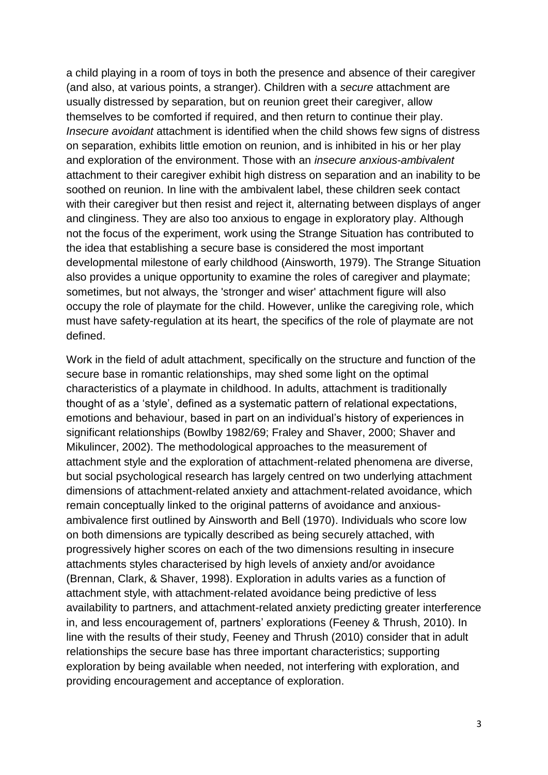a child playing in a room of toys in both the presence and absence of their caregiver (and also, at various points, a stranger). Children with a *secure* attachment are usually distressed by separation, but on reunion greet their caregiver, allow themselves to be comforted if required, and then return to continue their play. *Insecure avoidant* attachment is identified when the child shows few signs of distress on separation, exhibits little emotion on reunion, and is inhibited in his or her play and exploration of the environment. Those with an *insecure anxious-ambivalent* attachment to their caregiver exhibit high distress on separation and an inability to be soothed on reunion. In line with the ambivalent label, these children seek contact with their caregiver but then resist and reject it, alternating between displays of anger and clinginess. They are also too anxious to engage in exploratory play. Although not the focus of the experiment, work using the Strange Situation has contributed to the idea that establishing a secure base is considered the most important developmental milestone of early childhood (Ainsworth, 1979). The Strange Situation also provides a unique opportunity to examine the roles of caregiver and playmate; sometimes, but not always, the 'stronger and wiser' attachment figure will also occupy the role of playmate for the child. However, unlike the caregiving role, which must have safety-regulation at its heart, the specifics of the role of playmate are not defined.

Work in the field of adult attachment, specifically on the structure and function of the secure base in romantic relationships, may shed some light on the optimal characteristics of a playmate in childhood. In adults, attachment is traditionally thought of as a 'style', defined as a systematic pattern of relational expectations, emotions and behaviour, based in part on an individual's history of experiences in significant relationships (Bowlby 1982/69; Fraley and Shaver, 2000; Shaver and Mikulincer, 2002). The methodological approaches to the measurement of attachment style and the exploration of attachment-related phenomena are diverse, but social psychological research has largely centred on two underlying attachment dimensions of attachment-related anxiety and attachment-related avoidance, which remain conceptually linked to the original patterns of avoidance and anxiousambivalence first outlined by Ainsworth and Bell (1970). Individuals who score low on both dimensions are typically described as being securely attached, with progressively higher scores on each of the two dimensions resulting in insecure attachments styles characterised by high levels of anxiety and/or avoidance (Brennan, Clark, & Shaver, 1998). Exploration in adults varies as a function of attachment style, with attachment-related avoidance being predictive of less availability to partners, and attachment-related anxiety predicting greater interference in, and less encouragement of, partners' explorations (Feeney & Thrush, 2010). In line with the results of their study, Feeney and Thrush (2010) consider that in adult relationships the secure base has three important characteristics; supporting exploration by being available when needed, not interfering with exploration, and providing encouragement and acceptance of exploration.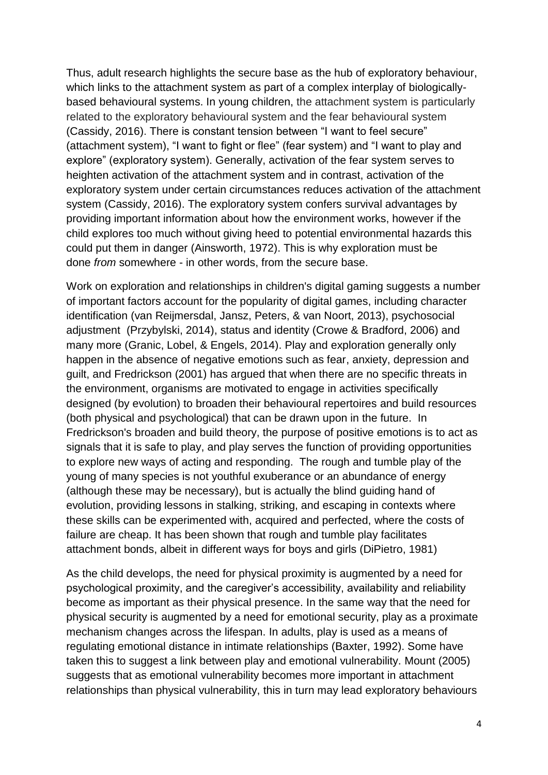Thus, adult research highlights the secure base as the hub of exploratory behaviour, which links to the attachment system as part of a complex interplay of biologicallybased behavioural systems. In young children, the attachment system is particularly related to the exploratory behavioural system and the fear behavioural system (Cassidy, 2016). There is constant tension between "I want to feel secure" (attachment system), "I want to fight or flee" (fear system) and "I want to play and explore" (exploratory system). Generally, activation of the fear system serves to heighten activation of the attachment system and in contrast, activation of the exploratory system under certain circumstances reduces activation of the attachment system (Cassidy, 2016). The exploratory system confers survival advantages by providing important information about how the environment works, however if the child explores too much without giving heed to potential environmental hazards this could put them in danger (Ainsworth, 1972). This is why exploration must be done *from* somewhere - in other words, from the secure base.

Work on exploration and relationships in children's digital gaming suggests a number of important factors account for the popularity of digital games, including character identification (van Reijmersdal, Jansz, Peters, & van Noort, 2013), psychosocial adjustment (Przybylski, 2014), status and identity (Crowe & Bradford, 2006) and many more (Granic, Lobel, & Engels, 2014). Play and exploration generally only happen in the absence of negative emotions such as fear, anxiety, depression and guilt, and Fredrickson (2001) has argued that when there are no specific threats in the environment, organisms are motivated to engage in activities specifically designed (by evolution) to broaden their behavioural repertoires and build resources (both physical and psychological) that can be drawn upon in the future. In Fredrickson's broaden and build theory, the purpose of positive emotions is to act as signals that it is safe to play, and play serves the function of providing opportunities to explore new ways of acting and responding. The rough and tumble play of the young of many species is not youthful exuberance or an abundance of energy (although these may be necessary), but is actually the blind guiding hand of evolution, providing lessons in stalking, striking, and escaping in contexts where these skills can be experimented with, acquired and perfected, where the costs of failure are cheap. It has been shown that rough and tumble play facilitates attachment bonds, albeit in different ways for boys and girls (DiPietro, 1981)

As the child develops, the need for physical proximity is augmented by a need for psychological proximity, and the caregiver's accessibility, availability and reliability become as important as their physical presence. In the same way that the need for physical security is augmented by a need for emotional security, play as a proximate mechanism changes across the lifespan. In adults, play is used as a means of regulating emotional distance in intimate relationships (Baxter, 1992). Some have taken this to suggest a link between play and emotional vulnerability. Mount (2005) suggests that as emotional vulnerability becomes more important in attachment relationships than physical vulnerability, this in turn may lead exploratory behaviours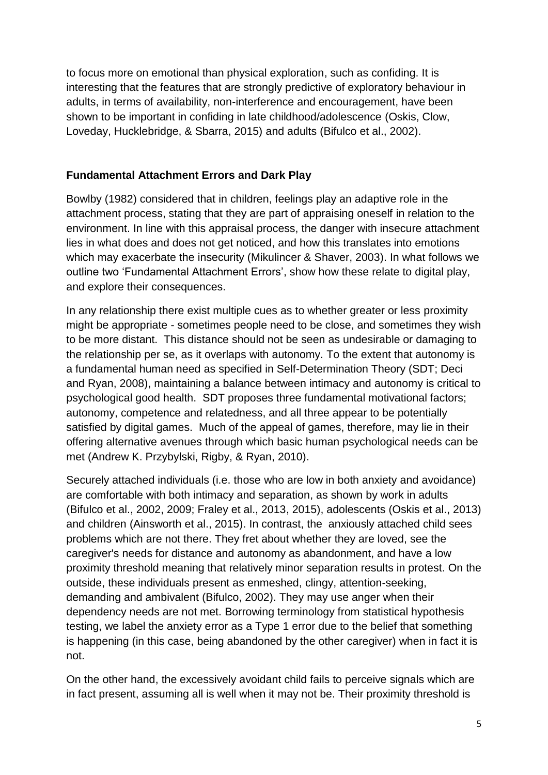to focus more on emotional than physical exploration, such as confiding. It is interesting that the features that are strongly predictive of exploratory behaviour in adults, in terms of availability, non-interference and encouragement, have been shown to be important in confiding in late childhood/adolescence (Oskis, Clow, Loveday, Hucklebridge, & Sbarra, 2015) and adults (Bifulco et al., 2002).

### **Fundamental Attachment Errors and Dark Play**

Bowlby (1982) considered that in children, feelings play an adaptive role in the attachment process, stating that they are part of appraising oneself in relation to the environment. In line with this appraisal process, the danger with insecure attachment lies in what does and does not get noticed, and how this translates into emotions which may exacerbate the insecurity (Mikulincer & Shaver, 2003). In what follows we outline two 'Fundamental Attachment Errors', show how these relate to digital play, and explore their consequences.

In any relationship there exist multiple cues as to whether greater or less proximity might be appropriate - sometimes people need to be close, and sometimes they wish to be more distant. This distance should not be seen as undesirable or damaging to the relationship per se, as it overlaps with autonomy. To the extent that autonomy is a fundamental human need as specified in Self-Determination Theory (SDT; Deci and Ryan, 2008), maintaining a balance between intimacy and autonomy is critical to psychological good health. SDT proposes three fundamental motivational factors; autonomy, competence and relatedness, and all three appear to be potentially satisfied by digital games. Much of the appeal of games, therefore, may lie in their offering alternative avenues through which basic human psychological needs can be met (Andrew K. Przybylski, Rigby, & Ryan, 2010).

Securely attached individuals (i.e. those who are low in both anxiety and avoidance) are comfortable with both intimacy and separation, as shown by work in adults (Bifulco et al., 2002, 2009; Fraley et al., 2013, 2015), adolescents (Oskis et al., 2013) and children (Ainsworth et al., 2015). In contrast, the anxiously attached child sees problems which are not there. They fret about whether they are loved, see the caregiver's needs for distance and autonomy as abandonment, and have a low proximity threshold meaning that relatively minor separation results in protest. On the outside, these individuals present as enmeshed, clingy, attention-seeking, demanding and ambivalent (Bifulco, 2002). They may use anger when their dependency needs are not met. Borrowing terminology from statistical hypothesis testing, we label the anxiety error as a Type 1 error due to the belief that something is happening (in this case, being abandoned by the other caregiver) when in fact it is not.

On the other hand, the excessively avoidant child fails to perceive signals which are in fact present, assuming all is well when it may not be. Their proximity threshold is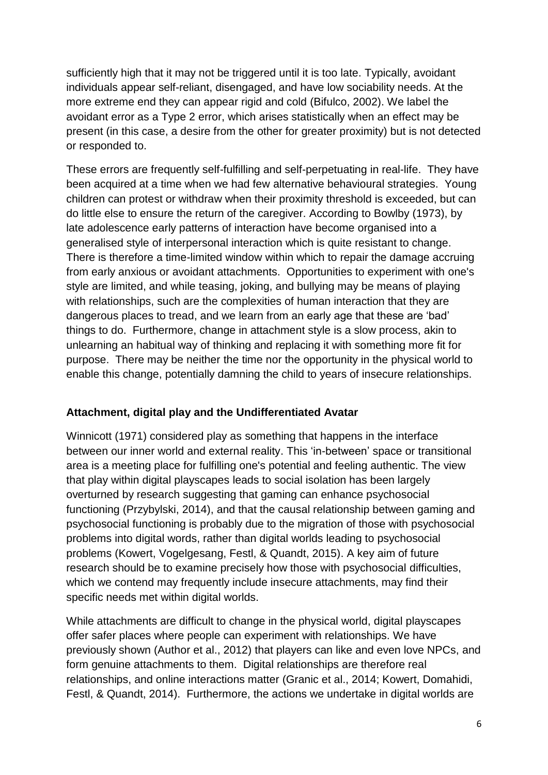sufficiently high that it may not be triggered until it is too late. Typically, avoidant individuals appear self-reliant, disengaged, and have low sociability needs. At the more extreme end they can appear rigid and cold (Bifulco, 2002). We label the avoidant error as a Type 2 error, which arises statistically when an effect may be present (in this case, a desire from the other for greater proximity) but is not detected or responded to.

These errors are frequently self-fulfilling and self-perpetuating in real-life. They have been acquired at a time when we had few alternative behavioural strategies. Young children can protest or withdraw when their proximity threshold is exceeded, but can do little else to ensure the return of the caregiver. According to Bowlby (1973), by late adolescence early patterns of interaction have become organised into a generalised style of interpersonal interaction which is quite resistant to change. There is therefore a time-limited window within which to repair the damage accruing from early anxious or avoidant attachments. Opportunities to experiment with one's style are limited, and while teasing, joking, and bullying may be means of playing with relationships, such are the complexities of human interaction that they are dangerous places to tread, and we learn from an early age that these are 'bad' things to do. Furthermore, change in attachment style is a slow process, akin to unlearning an habitual way of thinking and replacing it with something more fit for purpose. There may be neither the time nor the opportunity in the physical world to enable this change, potentially damning the child to years of insecure relationships.

## **Attachment, digital play and the Undifferentiated Avatar**

Winnicott (1971) considered play as something that happens in the interface between our inner world and external reality. This 'in-between' space or transitional area is a meeting place for fulfilling one's potential and feeling authentic. The view that play within digital playscapes leads to social isolation has been largely overturned by research suggesting that gaming can enhance psychosocial functioning (Przybylski, 2014), and that the causal relationship between gaming and psychosocial functioning is probably due to the migration of those with psychosocial problems into digital words, rather than digital worlds leading to psychosocial problems (Kowert, Vogelgesang, Festl, & Quandt, 2015). A key aim of future research should be to examine precisely how those with psychosocial difficulties, which we contend may frequently include insecure attachments, may find their specific needs met within digital worlds.

While attachments are difficult to change in the physical world, digital playscapes offer safer places where people can experiment with relationships. We have previously shown (Author et al., 2012) that players can like and even love NPCs, and form genuine attachments to them. Digital relationships are therefore real relationships, and online interactions matter (Granic et al., 2014; Kowert, Domahidi, Festl, & Quandt, 2014). Furthermore, the actions we undertake in digital worlds are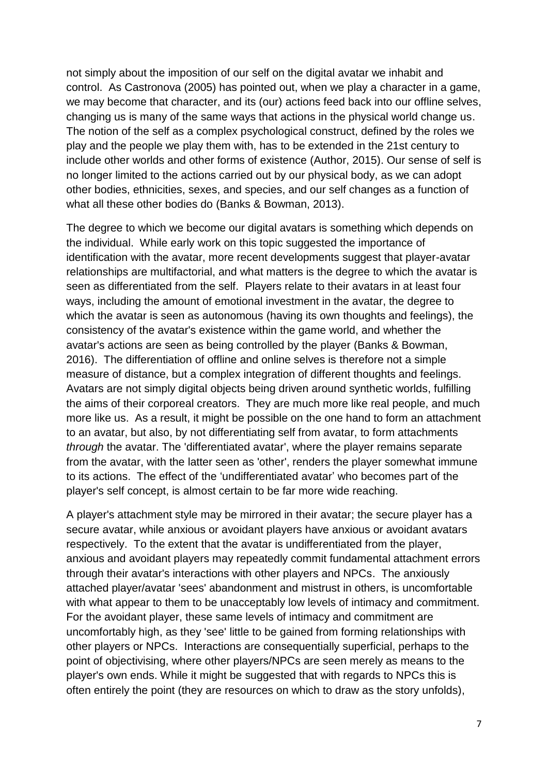not simply about the imposition of our self on the digital avatar we inhabit and control. As Castronova (2005) has pointed out, when we play a character in a game, we may become that character, and its (our) actions feed back into our offline selves, changing us is many of the same ways that actions in the physical world change us. The notion of the self as a complex psychological construct, defined by the roles we play and the people we play them with, has to be extended in the 21st century to include other worlds and other forms of existence (Author, 2015). Our sense of self is no longer limited to the actions carried out by our physical body, as we can adopt other bodies, ethnicities, sexes, and species, and our self changes as a function of what all these other bodies do (Banks & Bowman, 2013).

The degree to which we become our digital avatars is something which depends on the individual. While early work on this topic suggested the importance of identification with the avatar, more recent developments suggest that player-avatar relationships are multifactorial, and what matters is the degree to which the avatar is seen as differentiated from the self. Players relate to their avatars in at least four ways, including the amount of emotional investment in the avatar, the degree to which the avatar is seen as autonomous (having its own thoughts and feelings), the consistency of the avatar's existence within the game world, and whether the avatar's actions are seen as being controlled by the player (Banks & Bowman, 2016). The differentiation of offline and online selves is therefore not a simple measure of distance, but a complex integration of different thoughts and feelings. Avatars are not simply digital objects being driven around synthetic worlds, fulfilling the aims of their corporeal creators. They are much more like real people, and much more like us. As a result, it might be possible on the one hand to form an attachment to an avatar, but also, by not differentiating self from avatar, to form attachments *through* the avatar. The 'differentiated avatar', where the player remains separate from the avatar, with the latter seen as 'other', renders the player somewhat immune to its actions. The effect of the 'undifferentiated avatar' who becomes part of the player's self concept, is almost certain to be far more wide reaching.

A player's attachment style may be mirrored in their avatar; the secure player has a secure avatar, while anxious or avoidant players have anxious or avoidant avatars respectively. To the extent that the avatar is undifferentiated from the player, anxious and avoidant players may repeatedly commit fundamental attachment errors through their avatar's interactions with other players and NPCs. The anxiously attached player/avatar 'sees' abandonment and mistrust in others, is uncomfortable with what appear to them to be unacceptably low levels of intimacy and commitment. For the avoidant player, these same levels of intimacy and commitment are uncomfortably high, as they 'see' little to be gained from forming relationships with other players or NPCs. Interactions are consequentially superficial, perhaps to the point of objectivising, where other players/NPCs are seen merely as means to the player's own ends. While it might be suggested that with regards to NPCs this is often entirely the point (they are resources on which to draw as the story unfolds),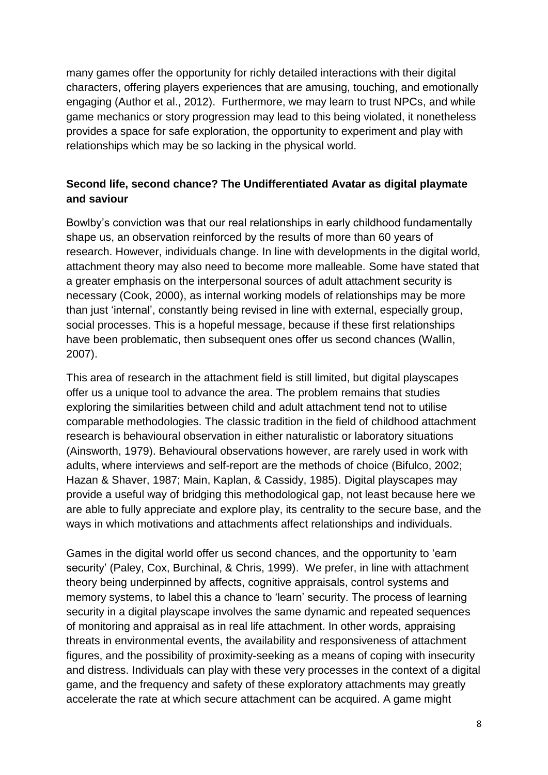many games offer the opportunity for richly detailed interactions with their digital characters, offering players experiences that are amusing, touching, and emotionally engaging (Author et al., 2012). Furthermore, we may learn to trust NPCs, and while game mechanics or story progression may lead to this being violated, it nonetheless provides a space for safe exploration, the opportunity to experiment and play with relationships which may be so lacking in the physical world.

# **Second life, second chance? The Undifferentiated Avatar as digital playmate and saviour**

Bowlby's conviction was that our real relationships in early childhood fundamentally shape us, an observation reinforced by the results of more than 60 years of research. However, individuals change. In line with developments in the digital world, attachment theory may also need to become more malleable. Some have stated that a greater emphasis on the interpersonal sources of adult attachment security is necessary (Cook, 2000), as internal working models of relationships may be more than just 'internal', constantly being revised in line with external, especially group, social processes. This is a hopeful message, because if these first relationships have been problematic, then subsequent ones offer us second chances (Wallin, 2007).

This area of research in the attachment field is still limited, but digital playscapes offer us a unique tool to advance the area. The problem remains that studies exploring the similarities between child and adult attachment tend not to utilise comparable methodologies. The classic tradition in the field of childhood attachment research is behavioural observation in either naturalistic or laboratory situations (Ainsworth, 1979). Behavioural observations however, are rarely used in work with adults, where interviews and self-report are the methods of choice (Bifulco, 2002; Hazan & Shaver, 1987; Main, Kaplan, & Cassidy, 1985). Digital playscapes may provide a useful way of bridging this methodological gap, not least because here we are able to fully appreciate and explore play, its centrality to the secure base, and the ways in which motivations and attachments affect relationships and individuals.

Games in the digital world offer us second chances, and the opportunity to 'earn security' (Paley, Cox, Burchinal, & Chris, 1999). We prefer, in line with attachment theory being underpinned by affects, cognitive appraisals, control systems and memory systems, to label this a chance to 'learn' security. The process of learning security in a digital playscape involves the same dynamic and repeated sequences of monitoring and appraisal as in real life attachment. In other words, appraising threats in environmental events, the availability and responsiveness of attachment figures, and the possibility of proximity-seeking as a means of coping with insecurity and distress. Individuals can play with these very processes in the context of a digital game, and the frequency and safety of these exploratory attachments may greatly accelerate the rate at which secure attachment can be acquired. A game might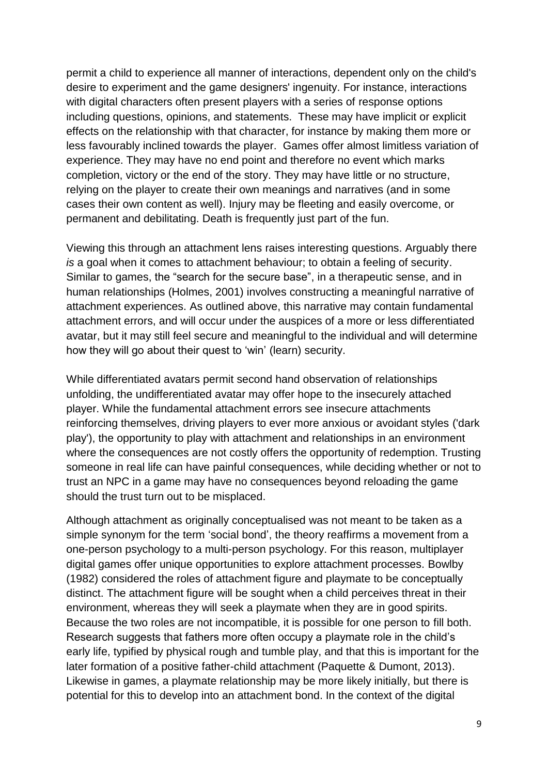permit a child to experience all manner of interactions, dependent only on the child's desire to experiment and the game designers' ingenuity. For instance, interactions with digital characters often present players with a series of response options including questions, opinions, and statements. These may have implicit or explicit effects on the relationship with that character, for instance by making them more or less favourably inclined towards the player. Games offer almost limitless variation of experience. They may have no end point and therefore no event which marks completion, victory or the end of the story. They may have little or no structure, relying on the player to create their own meanings and narratives (and in some cases their own content as well). Injury may be fleeting and easily overcome, or permanent and debilitating. Death is frequently just part of the fun.

Viewing this through an attachment lens raises interesting questions. Arguably there *is* a goal when it comes to attachment behaviour; to obtain a feeling of security. Similar to games, the "search for the secure base", in a therapeutic sense, and in human relationships (Holmes, 2001) involves constructing a meaningful narrative of attachment experiences. As outlined above, this narrative may contain fundamental attachment errors, and will occur under the auspices of a more or less differentiated avatar, but it may still feel secure and meaningful to the individual and will determine how they will go about their quest to 'win' (learn) security.

While differentiated avatars permit second hand observation of relationships unfolding, the undifferentiated avatar may offer hope to the insecurely attached player. While the fundamental attachment errors see insecure attachments reinforcing themselves, driving players to ever more anxious or avoidant styles ('dark play'), the opportunity to play with attachment and relationships in an environment where the consequences are not costly offers the opportunity of redemption. Trusting someone in real life can have painful consequences, while deciding whether or not to trust an NPC in a game may have no consequences beyond reloading the game should the trust turn out to be misplaced.

Although attachment as originally conceptualised was not meant to be taken as a simple synonym for the term 'social bond', the theory reaffirms a movement from a one-person psychology to a multi-person psychology. For this reason, multiplayer digital games offer unique opportunities to explore attachment processes. Bowlby (1982) considered the roles of attachment figure and playmate to be conceptually distinct. The attachment figure will be sought when a child perceives threat in their environment, whereas they will seek a playmate when they are in good spirits. Because the two roles are not incompatible, it is possible for one person to fill both. Research suggests that fathers more often occupy a playmate role in the child's early life, typified by physical rough and tumble play, and that this is important for the later formation of a positive father-child attachment (Paquette & Dumont, 2013). Likewise in games, a playmate relationship may be more likely initially, but there is potential for this to develop into an attachment bond. In the context of the digital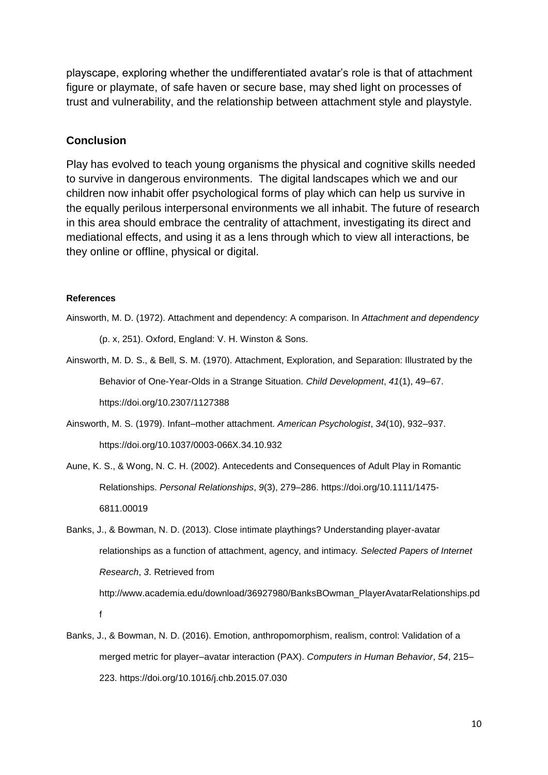playscape, exploring whether the undifferentiated avatar's role is that of attachment figure or playmate, of safe haven or secure base, may shed light on processes of trust and vulnerability, and the relationship between attachment style and playstyle.

#### **Conclusion**

Play has evolved to teach young organisms the physical and cognitive skills needed to survive in dangerous environments. The digital landscapes which we and our children now inhabit offer psychological forms of play which can help us survive in the equally perilous interpersonal environments we all inhabit. The future of research in this area should embrace the centrality of attachment, investigating its direct and mediational effects, and using it as a lens through which to view all interactions, be they online or offline, physical or digital.

#### **References**

- Ainsworth, M. D. (1972). Attachment and dependency: A comparison. In *Attachment and dependency* (p. x, 251). Oxford, England: V. H. Winston & Sons.
- Ainsworth, M. D. S., & Bell, S. M. (1970). Attachment, Exploration, and Separation: Illustrated by the Behavior of One-Year-Olds in a Strange Situation. *Child Development*, *41*(1), 49–67. https://doi.org/10.2307/1127388
- Ainsworth, M. S. (1979). Infant–mother attachment. *American Psychologist*, *34*(10), 932–937. https://doi.org/10.1037/0003-066X.34.10.932
- Aune, K. S., & Wong, N. C. H. (2002). Antecedents and Consequences of Adult Play in Romantic Relationships. *Personal Relationships*, *9*(3), 279–286. https://doi.org/10.1111/1475- 6811.00019
- Banks, J., & Bowman, N. D. (2013). Close intimate playthings? Understanding player-avatar relationships as a function of attachment, agency, and intimacy. *Selected Papers of Internet Research*, *3*. Retrieved from http://www.academia.edu/download/36927980/BanksBOwman\_PlayerAvatarRelationships.pd f
- Banks, J., & Bowman, N. D. (2016). Emotion, anthropomorphism, realism, control: Validation of a merged metric for player–avatar interaction (PAX). *Computers in Human Behavior*, *54*, 215– 223. https://doi.org/10.1016/j.chb.2015.07.030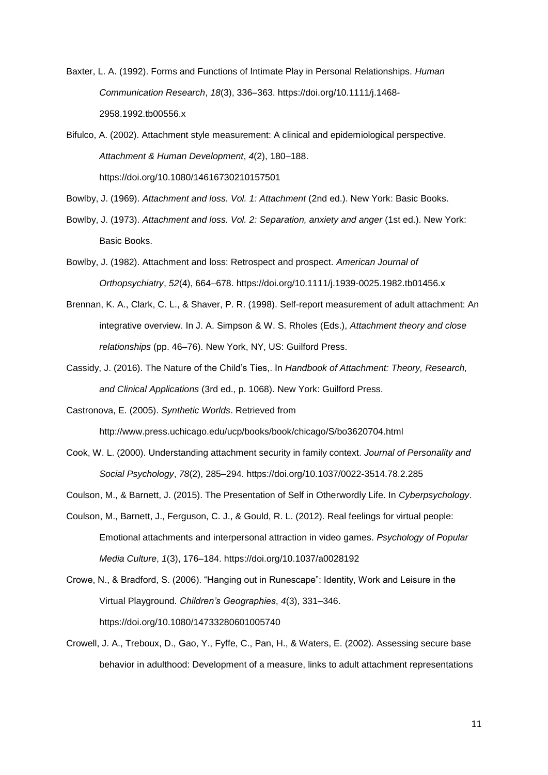- Baxter, L. A. (1992). Forms and Functions of Intimate Play in Personal Relationships. *Human Communication Research*, *18*(3), 336–363. https://doi.org/10.1111/j.1468- 2958.1992.tb00556.x
- Bifulco, A. (2002). Attachment style measurement: A clinical and epidemiological perspective. *Attachment & Human Development*, *4*(2), 180–188. https://doi.org/10.1080/14616730210157501

Bowlby, J. (1969). *Attachment and loss. Vol. 1: Attachment* (2nd ed.). New York: Basic Books.

- Bowlby, J. (1973). *Attachment and loss. Vol. 2: Separation, anxiety and anger* (1st ed.). New York: Basic Books.
- Bowlby, J. (1982). Attachment and loss: Retrospect and prospect. *American Journal of Orthopsychiatry*, *52*(4), 664–678. https://doi.org/10.1111/j.1939-0025.1982.tb01456.x
- Brennan, K. A., Clark, C. L., & Shaver, P. R. (1998). Self-report measurement of adult attachment: An integrative overview. In J. A. Simpson & W. S. Rholes (Eds.), *Attachment theory and close relationships* (pp. 46–76). New York, NY, US: Guilford Press.
- Cassidy, J. (2016). The Nature of the Child's Ties,. In *Handbook of Attachment: Theory, Research, and Clinical Applications* (3rd ed., p. 1068). New York: Guilford Press.

Castronova, E. (2005). *Synthetic Worlds*. Retrieved from

http://www.press.uchicago.edu/ucp/books/book/chicago/S/bo3620704.html

Cook, W. L. (2000). Understanding attachment security in family context. *Journal of Personality and Social Psychology*, *78*(2), 285–294. https://doi.org/10.1037/0022-3514.78.2.285

Coulson, M., & Barnett, J. (2015). The Presentation of Self in Otherwordly Life. In *Cyberpsychology*.

- Coulson, M., Barnett, J., Ferguson, C. J., & Gould, R. L. (2012). Real feelings for virtual people: Emotional attachments and interpersonal attraction in video games. *Psychology of Popular Media Culture*, *1*(3), 176–184. https://doi.org/10.1037/a0028192
- Crowe, N., & Bradford, S. (2006). "Hanging out in Runescape": Identity, Work and Leisure in the Virtual Playground. *Children's Geographies*, *4*(3), 331–346. https://doi.org/10.1080/14733280601005740
- Crowell, J. A., Treboux, D., Gao, Y., Fyffe, C., Pan, H., & Waters, E. (2002). Assessing secure base behavior in adulthood: Development of a measure, links to adult attachment representations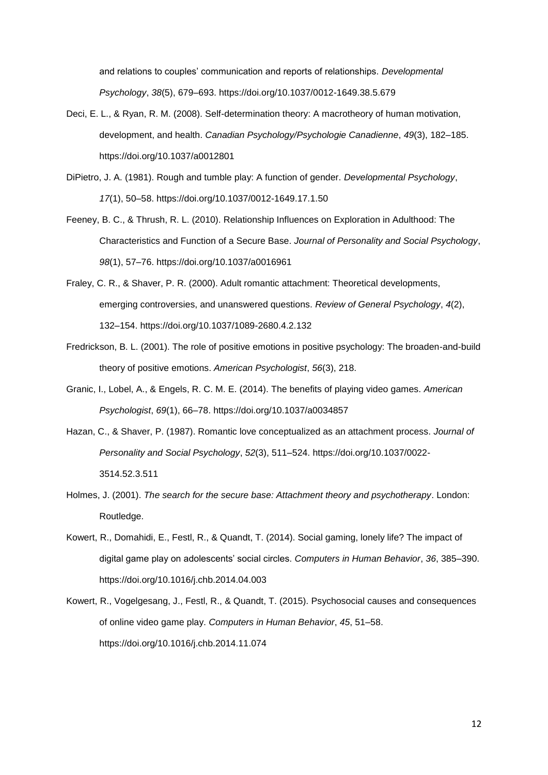and relations to couples' communication and reports of relationships. *Developmental Psychology*, *38*(5), 679–693. https://doi.org/10.1037/0012-1649.38.5.679

- Deci, E. L., & Ryan, R. M. (2008). Self-determination theory: A macrotheory of human motivation, development, and health. *Canadian Psychology/Psychologie Canadienne*, *49*(3), 182–185. https://doi.org/10.1037/a0012801
- DiPietro, J. A. (1981). Rough and tumble play: A function of gender. *Developmental Psychology*, *17*(1), 50–58. https://doi.org/10.1037/0012-1649.17.1.50
- Feeney, B. C., & Thrush, R. L. (2010). Relationship Influences on Exploration in Adulthood: The Characteristics and Function of a Secure Base. *Journal of Personality and Social Psychology*, *98*(1), 57–76. https://doi.org/10.1037/a0016961
- Fraley, C. R., & Shaver, P. R. (2000). Adult romantic attachment: Theoretical developments, emerging controversies, and unanswered questions. *Review of General Psychology*, *4*(2), 132–154. https://doi.org/10.1037/1089-2680.4.2.132
- Fredrickson, B. L. (2001). The role of positive emotions in positive psychology: The broaden-and-build theory of positive emotions. *American Psychologist*, *56*(3), 218.
- Granic, I., Lobel, A., & Engels, R. C. M. E. (2014). The benefits of playing video games. *American Psychologist*, *69*(1), 66–78. https://doi.org/10.1037/a0034857
- Hazan, C., & Shaver, P. (1987). Romantic love conceptualized as an attachment process. *Journal of Personality and Social Psychology*, *52*(3), 511–524. https://doi.org/10.1037/0022- 3514.52.3.511
- Holmes, J. (2001). *The search for the secure base: Attachment theory and psychotherapy*. London: Routledge.
- Kowert, R., Domahidi, E., Festl, R., & Quandt, T. (2014). Social gaming, lonely life? The impact of digital game play on adolescents' social circles. *Computers in Human Behavior*, *36*, 385–390. https://doi.org/10.1016/j.chb.2014.04.003
- Kowert, R., Vogelgesang, J., Festl, R., & Quandt, T. (2015). Psychosocial causes and consequences of online video game play. *Computers in Human Behavior*, *45*, 51–58. https://doi.org/10.1016/j.chb.2014.11.074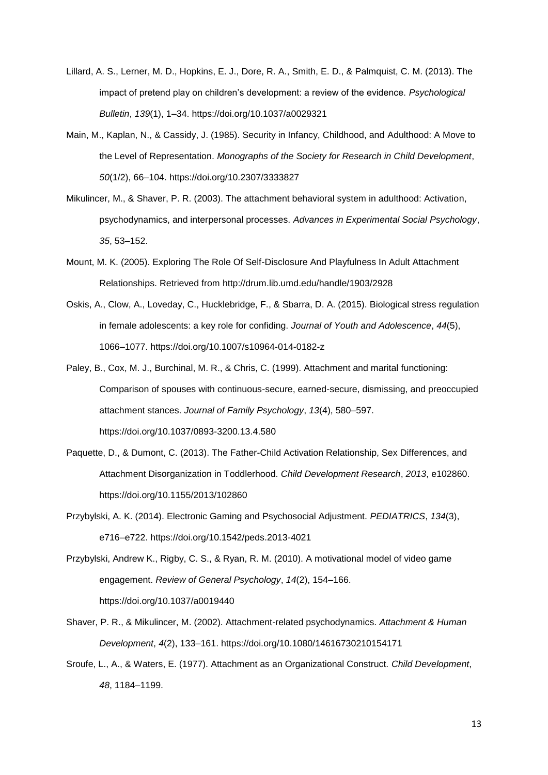- Lillard, A. S., Lerner, M. D., Hopkins, E. J., Dore, R. A., Smith, E. D., & Palmquist, C. M. (2013). The impact of pretend play on children's development: a review of the evidence. *Psychological Bulletin*, *139*(1), 1–34. https://doi.org/10.1037/a0029321
- Main, M., Kaplan, N., & Cassidy, J. (1985). Security in Infancy, Childhood, and Adulthood: A Move to the Level of Representation. *Monographs of the Society for Research in Child Development*, *50*(1/2), 66–104. https://doi.org/10.2307/3333827
- Mikulincer, M., & Shaver, P. R. (2003). The attachment behavioral system in adulthood: Activation, psychodynamics, and interpersonal processes. *Advances in Experimental Social Psychology*, *35*, 53–152.
- Mount, M. K. (2005). Exploring The Role Of Self-Disclosure And Playfulness In Adult Attachment Relationships. Retrieved from http://drum.lib.umd.edu/handle/1903/2928
- Oskis, A., Clow, A., Loveday, C., Hucklebridge, F., & Sbarra, D. A. (2015). Biological stress regulation in female adolescents: a key role for confiding. *Journal of Youth and Adolescence*, *44*(5), 1066–1077. https://doi.org/10.1007/s10964-014-0182-z
- Paley, B., Cox, M. J., Burchinal, M. R., & Chris, C. (1999). Attachment and marital functioning: Comparison of spouses with continuous-secure, earned-secure, dismissing, and preoccupied attachment stances. *Journal of Family Psychology*, *13*(4), 580–597. https://doi.org/10.1037/0893-3200.13.4.580
- Paquette, D., & Dumont, C. (2013). The Father-Child Activation Relationship, Sex Differences, and Attachment Disorganization in Toddlerhood. *Child Development Research*, *2013*, e102860. https://doi.org/10.1155/2013/102860
- Przybylski, A. K. (2014). Electronic Gaming and Psychosocial Adjustment. *PEDIATRICS*, *134*(3), e716–e722. https://doi.org/10.1542/peds.2013-4021
- Przybylski, Andrew K., Rigby, C. S., & Ryan, R. M. (2010). A motivational model of video game engagement. *Review of General Psychology*, *14*(2), 154–166. https://doi.org/10.1037/a0019440
- Shaver, P. R., & Mikulincer, M. (2002). Attachment-related psychodynamics. *Attachment & Human Development*, *4*(2), 133–161. https://doi.org/10.1080/14616730210154171
- Sroufe, L., A., & Waters, E. (1977). Attachment as an Organizational Construct. *Child Development*, *48*, 1184–1199.